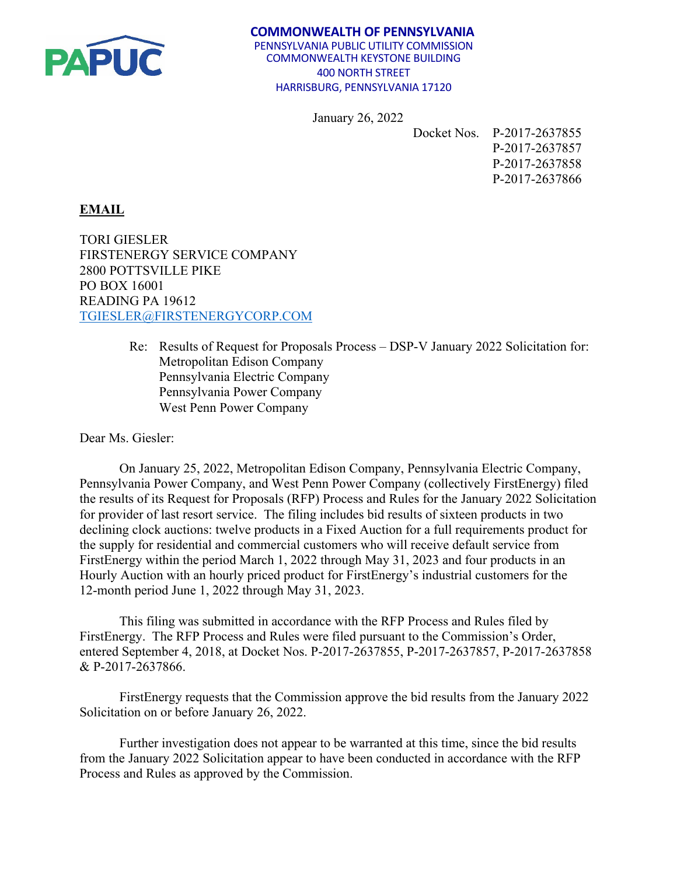

## **COMMONWEALTH OF PENNSYLVANIA** PENNSYLVANIA PUBLIC UTILITY COMMISSION COMMONWEALTH KEYSTONE BUILDING 400 NORTH STREET HARRISBURG, PENNSYLVANIA 17120

January 26, 2022

Docket Nos. P-2017-2637855

P-2017-2637857 P-2017-2637858 P-2017-2637866

## **EMAIL**

TORI GIESLER FIRSTENERGY SERVICE COMPANY 2800 POTTSVILLE PIKE PO BOX 16001 READING PA 19612 [TGIESLER@FIRSTENERGYCORP.COM](mailto:TGIESLER@FIRSTENERGYCORP.COM)

> Re: Results of Request for Proposals Process – DSP-V January 2022 Solicitation for: Metropolitan Edison Company Pennsylvania Electric Company Pennsylvania Power Company West Penn Power Company

Dear Ms. Giesler:

On January 25, 2022, Metropolitan Edison Company, Pennsylvania Electric Company, Pennsylvania Power Company, and West Penn Power Company (collectively FirstEnergy) filed the results of its Request for Proposals (RFP) Process and Rules for the January 2022 Solicitation for provider of last resort service. The filing includes bid results of sixteen products in two declining clock auctions: twelve products in a Fixed Auction for a full requirements product for the supply for residential and commercial customers who will receive default service from FirstEnergy within the period March 1, 2022 through May 31, 2023 and four products in an Hourly Auction with an hourly priced product for FirstEnergy's industrial customers for the 12-month period June 1, 2022 through May 31, 2023.

This filing was submitted in accordance with the RFP Process and Rules filed by FirstEnergy. The RFP Process and Rules were filed pursuant to the Commission's Order, entered September 4, 2018, at Docket Nos. P-2017-2637855, P-2017-2637857, P-2017-2637858 & P-2017-2637866.

FirstEnergy requests that the Commission approve the bid results from the January 2022 Solicitation on or before January 26, 2022.

Further investigation does not appear to be warranted at this time, since the bid results from the January 2022 Solicitation appear to have been conducted in accordance with the RFP Process and Rules as approved by the Commission.